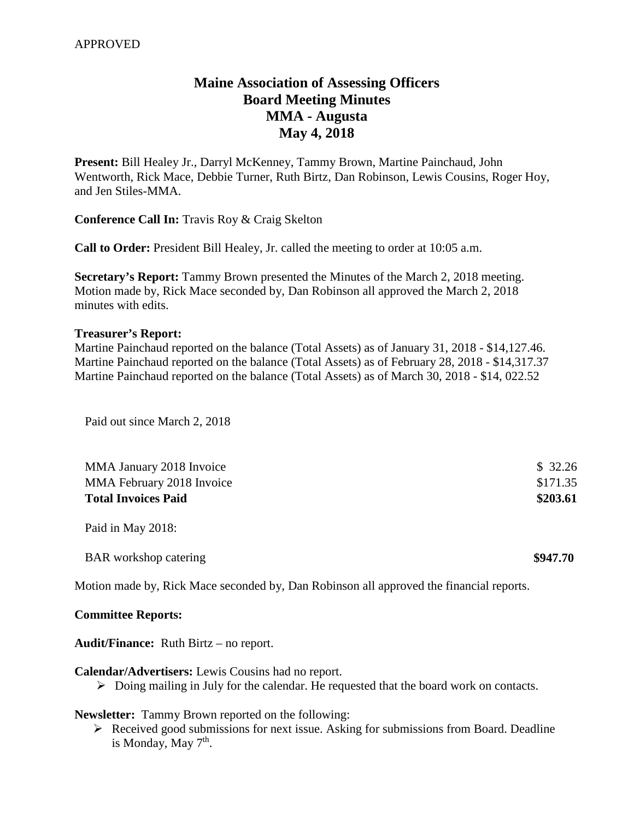## **Maine Association of Assessing Officers Board Meeting Minutes MMA - Augusta May 4, 2018**

**Present:** Bill Healey Jr., Darryl McKenney, Tammy Brown, Martine Painchaud, John Wentworth, Rick Mace, Debbie Turner, Ruth Birtz, Dan Robinson, Lewis Cousins, Roger Hoy, and Jen Stiles-MMA.

**Conference Call In:** Travis Roy & Craig Skelton

**Call to Order:** President Bill Healey, Jr. called the meeting to order at 10:05 a.m.

**Secretary's Report:** Tammy Brown presented the Minutes of the March 2, 2018 meeting. Motion made by, Rick Mace seconded by, Dan Robinson all approved the March 2, 2018 minutes with edits.

## **Treasurer's Report:**

Martine Painchaud reported on the balance (Total Assets) as of January 31, 2018 - \$14,127.46. Martine Painchaud reported on the balance (Total Assets) as of February 28, 2018 - \$14,317.37 Martine Painchaud reported on the balance (Total Assets) as of March 30, 2018 - \$14, 022.52

Paid out since March 2, 2018

| MMA January 2018 Invoice     | \$32.26  |
|------------------------------|----------|
| MMA February 2018 Invoice    | \$171.35 |
| <b>Total Invoices Paid</b>   | \$203.61 |
| Paid in May 2018:            |          |
| <b>BAR</b> workshop catering | \$947.70 |

Motion made by, Rick Mace seconded by, Dan Robinson all approved the financial reports.

## **Committee Reports:**

**Audit/Finance:** Ruth Birtz – no report.

**Calendar/Advertisers:** Lewis Cousins had no report.

 $\triangleright$  Doing mailing in July for the calendar. He requested that the board work on contacts.

**Newsletter:** Tammy Brown reported on the following:

 $\triangleright$  Received good submissions for next issue. Asking for submissions from Board. Deadline is Monday, May 7<sup>th</sup>.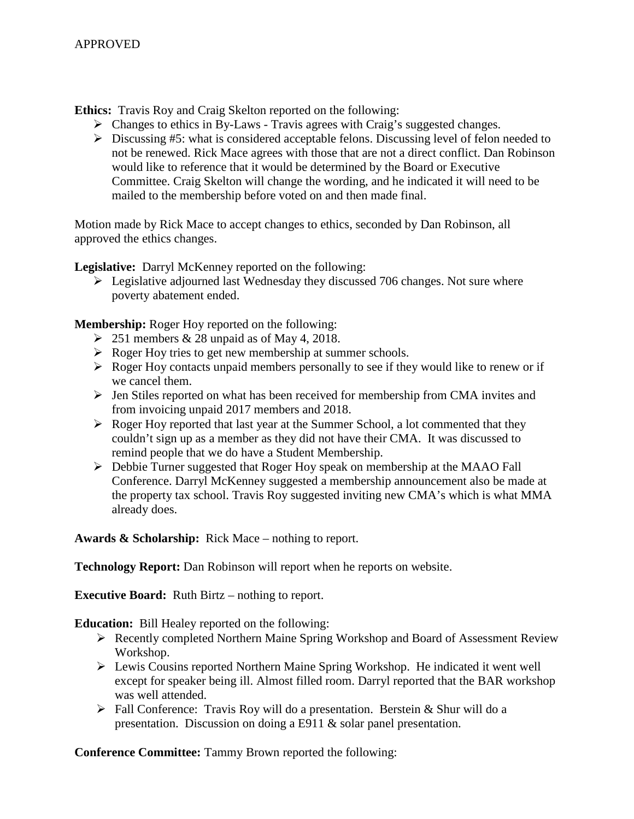**Ethics:** Travis Roy and Craig Skelton reported on the following:

- $\triangleright$  Changes to ethics in By-Laws Travis agrees with Craig's suggested changes.
- $\triangleright$  Discussing #5: what is considered acceptable felons. Discussing level of felon needed to not be renewed. Rick Mace agrees with those that are not a direct conflict. Dan Robinson would like to reference that it would be determined by the Board or Executive Committee. Craig Skelton will change the wording, and he indicated it will need to be mailed to the membership before voted on and then made final.

Motion made by Rick Mace to accept changes to ethics, seconded by Dan Robinson, all approved the ethics changes.

**Legislative:** Darryl McKenney reported on the following:

 $\triangleright$  Legislative adjourned last Wednesday they discussed 706 changes. Not sure where poverty abatement ended.

**Membership:** Roger Hoy reported on the following:

- $\geq 251$  members & 28 unpaid as of May 4, 2018.
- $\triangleright$  Roger Hoy tries to get new membership at summer schools.
- $\triangleright$  Roger Hoy contacts unpaid members personally to see if they would like to renew or if we cancel them.
- $\triangleright$  Jen Stiles reported on what has been received for membership from CMA invites and from invoicing unpaid 2017 members and 2018.
- $\triangleright$  Roger Hoy reported that last year at the Summer School, a lot commented that they couldn't sign up as a member as they did not have their CMA. It was discussed to remind people that we do have a Student Membership.
- Debbie Turner suggested that Roger Hoy speak on membership at the MAAO Fall Conference. Darryl McKenney suggested a membership announcement also be made at the property tax school. Travis Roy suggested inviting new CMA's which is what MMA already does.

**Awards & Scholarship:** Rick Mace – nothing to report.

**Technology Report:** Dan Robinson will report when he reports on website.

**Executive Board:** Ruth Birtz – nothing to report.

**Education:** Bill Healey reported on the following:

- Recently completed Northern Maine Spring Workshop and Board of Assessment Review Workshop.
- Lewis Cousins reported Northern Maine Spring Workshop. He indicated it went well except for speaker being ill. Almost filled room. Darryl reported that the BAR workshop was well attended.
- Fall Conference: Travis Roy will do a presentation. Berstein & Shur will do a presentation. Discussion on doing a E911 & solar panel presentation.

**Conference Committee:** Tammy Brown reported the following: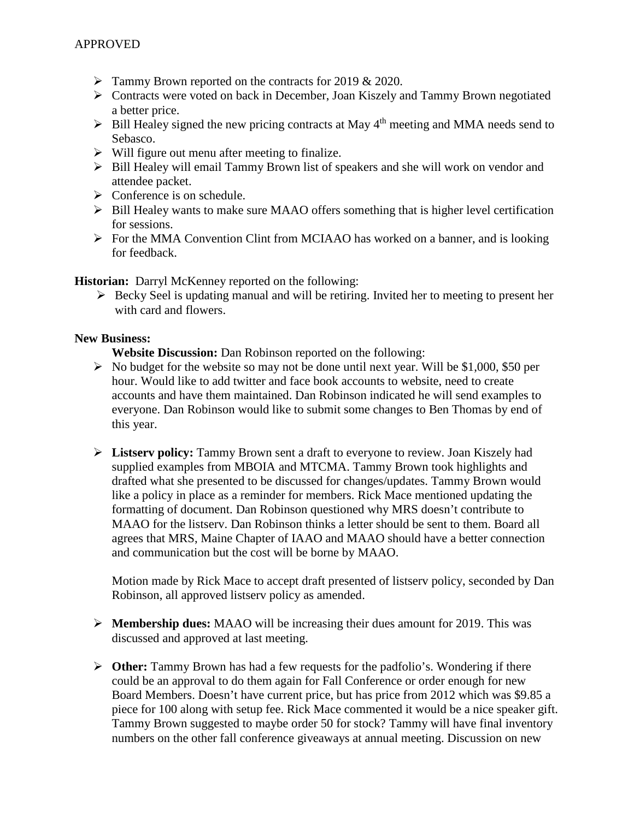- $\triangleright$  Tammy Brown reported on the contracts for 2019 & 2020.
- Contracts were voted on back in December, Joan Kiszely and Tammy Brown negotiated a better price.
- $\triangleright$  Bill Healey signed the new pricing contracts at May 4<sup>th</sup> meeting and MMA needs send to Sebasco.
- $\triangleright$  Will figure out menu after meeting to finalize.
- $\triangleright$  Bill Healey will email Tammy Brown list of speakers and she will work on vendor and attendee packet.
- $\triangleright$  Conference is on schedule.
- $\triangleright$  Bill Healey wants to make sure MAAO offers something that is higher level certification for sessions.
- $\triangleright$  For the MMA Convention Clint from MCIAAO has worked on a banner, and is looking for feedback.

**Historian:** Darryl McKenney reported on the following:

 $\triangleright$  Becky Seel is updating manual and will be retiring. Invited her to meeting to present her with card and flowers.

## **New Business:**

**Website Discussion:** Dan Robinson reported on the following:

- $\triangleright$  No budget for the website so may not be done until next year. Will be \$1,000, \$50 per hour. Would like to add twitter and face book accounts to website, need to create accounts and have them maintained. Dan Robinson indicated he will send examples to everyone. Dan Robinson would like to submit some changes to Ben Thomas by end of this year.
- **Listserv policy:** Tammy Brown sent a draft to everyone to review. Joan Kiszely had supplied examples from MBOIA and MTCMA. Tammy Brown took highlights and drafted what she presented to be discussed for changes/updates. Tammy Brown would like a policy in place as a reminder for members. Rick Mace mentioned updating the formatting of document. Dan Robinson questioned why MRS doesn't contribute to MAAO for the listserv. Dan Robinson thinks a letter should be sent to them. Board all agrees that MRS, Maine Chapter of IAAO and MAAO should have a better connection and communication but the cost will be borne by MAAO.

Motion made by Rick Mace to accept draft presented of listserv policy, seconded by Dan Robinson, all approved listserv policy as amended.

- **Membership dues:** MAAO will be increasing their dues amount for 2019. This was discussed and approved at last meeting.
- **Other:** Tammy Brown has had a few requests for the padfolio's. Wondering if there could be an approval to do them again for Fall Conference or order enough for new Board Members. Doesn't have current price, but has price from 2012 which was \$9.85 a piece for 100 along with setup fee. Rick Mace commented it would be a nice speaker gift. Tammy Brown suggested to maybe order 50 for stock? Tammy will have final inventory numbers on the other fall conference giveaways at annual meeting. Discussion on new